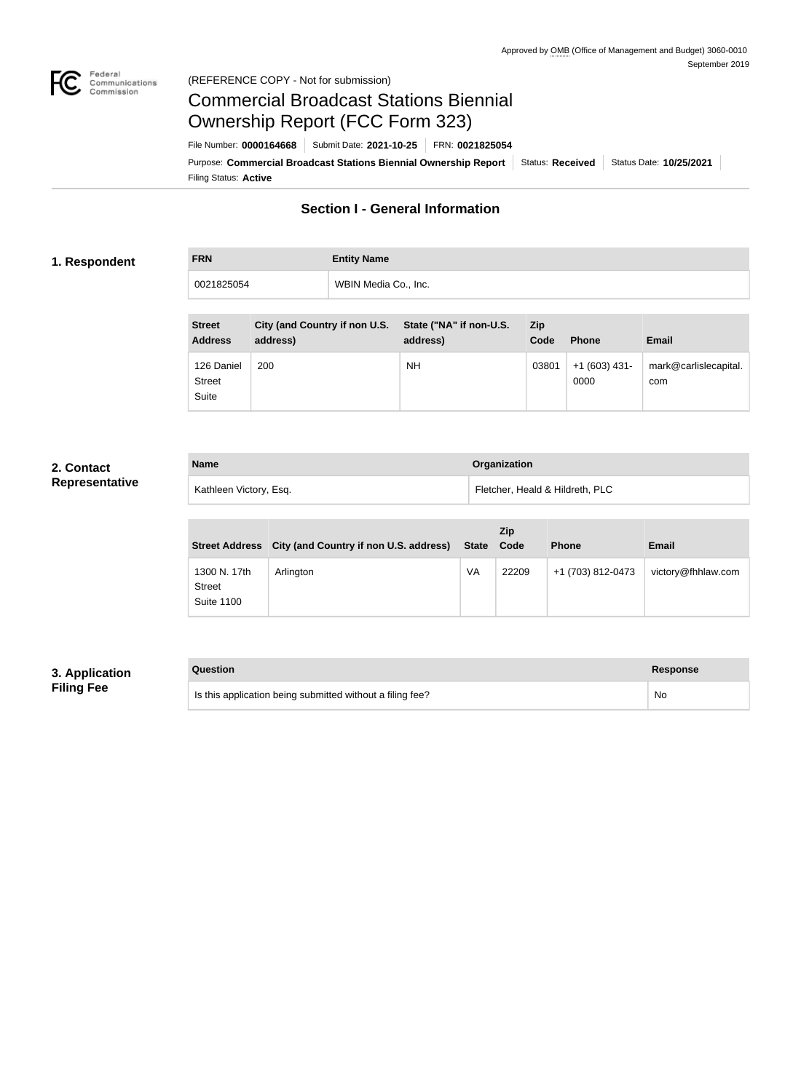

## Federal<br>Communications<br>Commission (REFERENCE COPY - Not for submission)

# Commercial Broadcast Stations Biennial Ownership Report (FCC Form 323)

Filing Status: **Active** Purpose: Commercial Broadcast Stations Biennial Ownership Report Status: Received Status Date: 10/25/2021 File Number: **0000164668** Submit Date: **2021-10-25** FRN: **0021825054**

# **Section I - General Information**

## **1. Respondent**

**FRN Entity Name** 0021825054 WBIN Media Co., Inc.

| <b>Street</b><br><b>Address</b>      | City (and Country if non U.S.<br>address) | State ("NA" if non-U.S.<br>address) | Zip<br>Code | <b>Phone</b>           | <b>Email</b>                 |
|--------------------------------------|-------------------------------------------|-------------------------------------|-------------|------------------------|------------------------------|
| 126 Daniel<br><b>Street</b><br>Suite | 200                                       | NΗ                                  | 03801       | $+1(603)$ 431-<br>0000 | mark@carlislecapital.<br>com |

## **2. Contact Representative**

| <b>Name</b>            | Organization                    |
|------------------------|---------------------------------|
| Kathleen Victory, Esq. | Fletcher, Heald & Hildreth, PLC |

|                                                    | Street Address City (and Country if non U.S. address) | State | <b>Zip</b><br>Code | <b>Phone</b>      | <b>Email</b>       |
|----------------------------------------------------|-------------------------------------------------------|-------|--------------------|-------------------|--------------------|
| 1300 N. 17th<br><b>Street</b><br><b>Suite 1100</b> | Arlington                                             | VA    | 22209              | +1 (703) 812-0473 | victory@fhhlaw.com |

## **3. Application Filing Fee**

| Question                                                  | <b>Response</b> |
|-----------------------------------------------------------|-----------------|
| Is this application being submitted without a filing fee? | No              |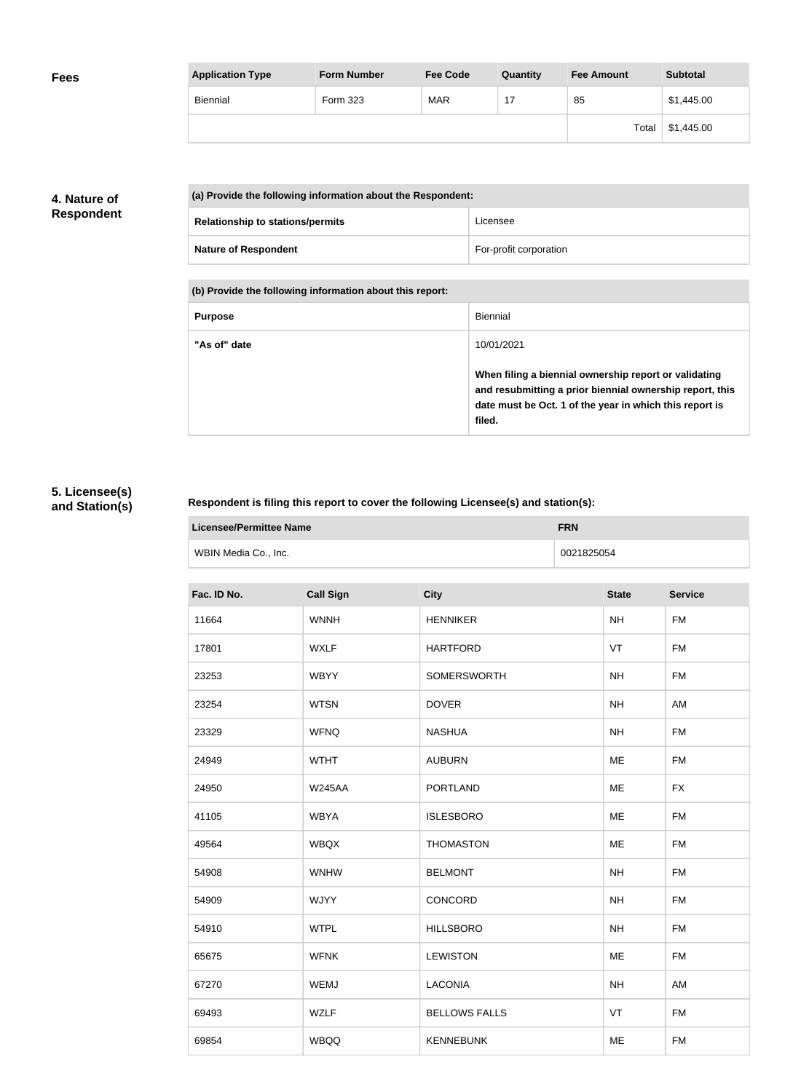| <b>Application Type</b> | Form Number | <b>Fee Code</b> | Quantity | <b>Fee Amount</b> | <b>Subtotal</b> |
|-------------------------|-------------|-----------------|----------|-------------------|-----------------|
| Biennial                | Form 323    | <b>MAR</b>      | 17       | 85                | \$1,445.00      |
|                         |             |                 |          | Total             | \$1,445.00      |

## **4. Nature of Respondent**

| (a) Provide the following information about the Respondent: |                        |  |
|-------------------------------------------------------------|------------------------|--|
| <b>Relationship to stations/permits</b>                     | Licensee               |  |
| <b>Nature of Respondent</b>                                 | For-profit corporation |  |

**(b) Provide the following information about this report:**

| <b>Purpose</b> | Biennial                                                                                                                                                                               |
|----------------|----------------------------------------------------------------------------------------------------------------------------------------------------------------------------------------|
| "As of" date   | 10/01/2021                                                                                                                                                                             |
|                | When filing a biennial ownership report or validating<br>and resubmitting a prior biennial ownership report, this<br>date must be Oct. 1 of the year in which this report is<br>filed. |

# **5. Licensee(s) and Station(s)**

×

## **Respondent is filing this report to cover the following Licensee(s) and station(s):**

| Licensee/Permittee Name | <b>FRN</b> |
|-------------------------|------------|
| WBIN Media Co., Inc.    | 0021825054 |

| Fac. ID No. | <b>Call Sign</b> | <b>City</b>          | <b>State</b> | <b>Service</b> |
|-------------|------------------|----------------------|--------------|----------------|
| 11664       | <b>WNNH</b>      | <b>HENNIKER</b>      | <b>NH</b>    | <b>FM</b>      |
| 17801       | <b>WXLF</b>      | <b>HARTFORD</b>      | VT           | <b>FM</b>      |
| 23253       | <b>WBYY</b>      | SOMERSWORTH          | <b>NH</b>    | <b>FM</b>      |
| 23254       | <b>WTSN</b>      | <b>DOVER</b>         | <b>NH</b>    | AM             |
| 23329       | <b>WFNQ</b>      | <b>NASHUA</b>        | <b>NH</b>    | <b>FM</b>      |
| 24949       | <b>WTHT</b>      | <b>AUBURN</b>        | ME           | <b>FM</b>      |
| 24950       | <b>W245AA</b>    | <b>PORTLAND</b>      | ME           | <b>FX</b>      |
| 41105       | <b>WBYA</b>      | <b>ISLESBORO</b>     | ME           | <b>FM</b>      |
| 49564       | <b>WBQX</b>      | <b>THOMASTON</b>     | ME           | <b>FM</b>      |
| 54908       | <b>WNHW</b>      | <b>BELMONT</b>       | <b>NH</b>    | <b>FM</b>      |
| 54909       | <b>WJYY</b>      | CONCORD              | <b>NH</b>    | <b>FM</b>      |
| 54910       | <b>WTPL</b>      | <b>HILLSBORO</b>     | NH           | <b>FM</b>      |
| 65675       | <b>WFNK</b>      | <b>LEWISTON</b>      | ME           | <b>FM</b>      |
| 67270       | WEMJ             | <b>LACONIA</b>       | <b>NH</b>    | AM             |
| 69493       | <b>WZLF</b>      | <b>BELLOWS FALLS</b> | VT           | <b>FM</b>      |
| 69854       | <b>WBQQ</b>      | <b>KENNEBUNK</b>     | ME           | <b>FM</b>      |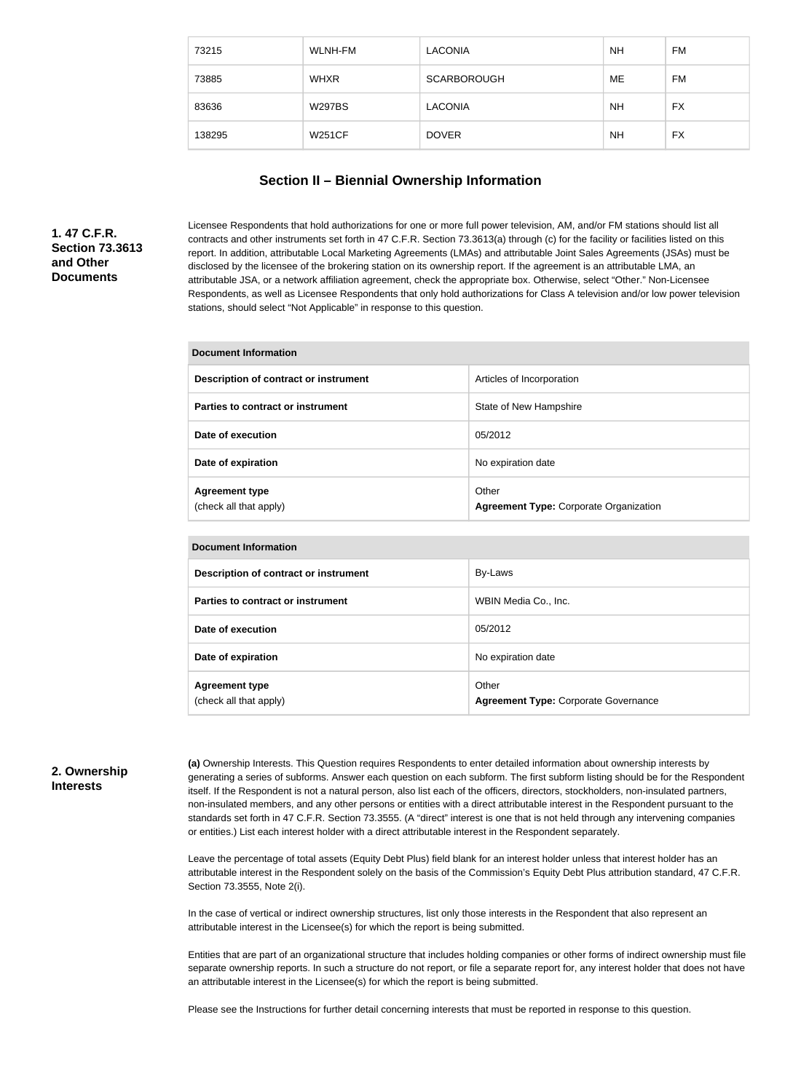| 73215  | WLNH-FM       | <b>LACONIA</b>     | <b>NH</b> | FM        |
|--------|---------------|--------------------|-----------|-----------|
| 73885  | <b>WHXR</b>   | <b>SCARBOROUGH</b> | ME        | FM        |
| 83636  | <b>W297BS</b> | <b>LACONIA</b>     | <b>NH</b> | <b>FX</b> |
| 138295 | <b>W251CF</b> | <b>DOVER</b>       | <b>NH</b> | <b>FX</b> |

#### **Section II – Biennial Ownership Information**

## **1. 47 C.F.R. Section 73.3613 and Other Documents**

Licensee Respondents that hold authorizations for one or more full power television, AM, and/or FM stations should list all contracts and other instruments set forth in 47 C.F.R. Section 73.3613(a) through (c) for the facility or facilities listed on this report. In addition, attributable Local Marketing Agreements (LMAs) and attributable Joint Sales Agreements (JSAs) must be disclosed by the licensee of the brokering station on its ownership report. If the agreement is an attributable LMA, an attributable JSA, or a network affiliation agreement, check the appropriate box. Otherwise, select "Other." Non-Licensee Respondents, as well as Licensee Respondents that only hold authorizations for Class A television and/or low power television stations, should select "Not Applicable" in response to this question.

| <b>Document Information</b>                     |                                                        |  |  |
|-------------------------------------------------|--------------------------------------------------------|--|--|
| Description of contract or instrument           | Articles of Incorporation                              |  |  |
| Parties to contract or instrument               | State of New Hampshire                                 |  |  |
| Date of execution                               | 05/2012                                                |  |  |
| Date of expiration                              | No expiration date                                     |  |  |
| <b>Agreement type</b><br>(check all that apply) | Other<br><b>Agreement Type: Corporate Organization</b> |  |  |

#### **Document Information**

| Description of contract or instrument           | By-Laws                                              |
|-------------------------------------------------|------------------------------------------------------|
| Parties to contract or instrument               | WBIN Media Co., Inc.                                 |
| Date of execution                               | 05/2012                                              |
| Date of expiration                              | No expiration date                                   |
| <b>Agreement type</b><br>(check all that apply) | Other<br><b>Agreement Type: Corporate Governance</b> |

#### **2. Ownership Interests**

**(a)** Ownership Interests. This Question requires Respondents to enter detailed information about ownership interests by generating a series of subforms. Answer each question on each subform. The first subform listing should be for the Respondent itself. If the Respondent is not a natural person, also list each of the officers, directors, stockholders, non-insulated partners, non-insulated members, and any other persons or entities with a direct attributable interest in the Respondent pursuant to the standards set forth in 47 C.F.R. Section 73.3555. (A "direct" interest is one that is not held through any intervening companies or entities.) List each interest holder with a direct attributable interest in the Respondent separately.

Leave the percentage of total assets (Equity Debt Plus) field blank for an interest holder unless that interest holder has an attributable interest in the Respondent solely on the basis of the Commission's Equity Debt Plus attribution standard, 47 C.F.R. Section 73.3555, Note 2(i).

In the case of vertical or indirect ownership structures, list only those interests in the Respondent that also represent an attributable interest in the Licensee(s) for which the report is being submitted.

Entities that are part of an organizational structure that includes holding companies or other forms of indirect ownership must file separate ownership reports. In such a structure do not report, or file a separate report for, any interest holder that does not have an attributable interest in the Licensee(s) for which the report is being submitted.

Please see the Instructions for further detail concerning interests that must be reported in response to this question.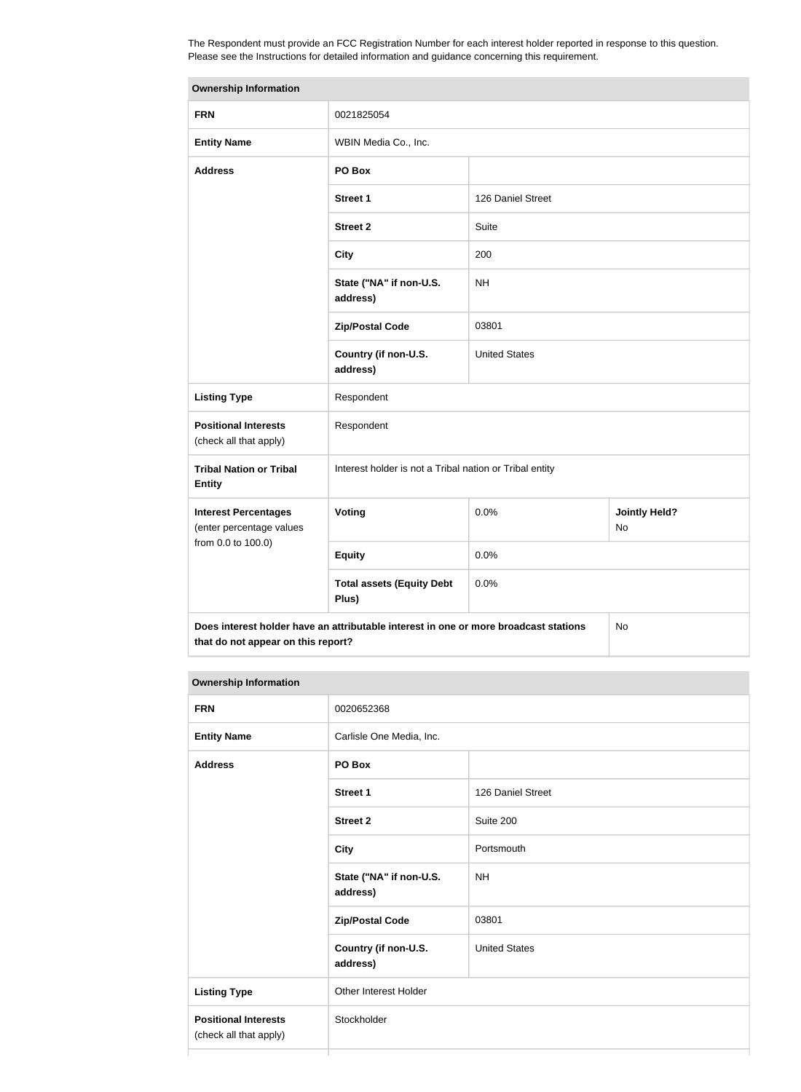The Respondent must provide an FCC Registration Number for each interest holder reported in response to this question. Please see the Instructions for detailed information and guidance concerning this requirement.

| <b>Ownership Information</b>                                                                                                     |                                                         |                      |  |
|----------------------------------------------------------------------------------------------------------------------------------|---------------------------------------------------------|----------------------|--|
| <b>FRN</b>                                                                                                                       | 0021825054                                              |                      |  |
| <b>Entity Name</b>                                                                                                               | WBIN Media Co., Inc.                                    |                      |  |
| <b>Address</b>                                                                                                                   | PO Box                                                  |                      |  |
|                                                                                                                                  | <b>Street 1</b>                                         | 126 Daniel Street    |  |
|                                                                                                                                  | <b>Street 2</b>                                         | Suite                |  |
|                                                                                                                                  | <b>City</b>                                             | 200                  |  |
|                                                                                                                                  | State ("NA" if non-U.S.<br>address)                     | <b>NH</b>            |  |
|                                                                                                                                  | <b>Zip/Postal Code</b>                                  | 03801                |  |
|                                                                                                                                  | Country (if non-U.S.<br>address)                        | <b>United States</b> |  |
| <b>Listing Type</b>                                                                                                              | Respondent                                              |                      |  |
| <b>Positional Interests</b><br>(check all that apply)                                                                            | Respondent                                              |                      |  |
| <b>Tribal Nation or Tribal</b><br><b>Entity</b>                                                                                  | Interest holder is not a Tribal nation or Tribal entity |                      |  |
| <b>Interest Percentages</b><br>(enter percentage values                                                                          | Voting<br>0.0%<br><b>Jointly Held?</b><br>No            |                      |  |
| from 0.0 to 100.0)                                                                                                               | <b>Equity</b>                                           | 0.0%                 |  |
|                                                                                                                                  | <b>Total assets (Equity Debt</b><br>Plus)               | 0.0%                 |  |
| Does interest holder have an attributable interest in one or more broadcast stations<br>No<br>that do not appear on this report? |                                                         |                      |  |

#### **Ownership Information**

| <b>FRN</b>                                            | 0020652368                          |                      |
|-------------------------------------------------------|-------------------------------------|----------------------|
| <b>Entity Name</b>                                    | Carlisle One Media, Inc.            |                      |
| <b>Address</b>                                        | PO Box                              |                      |
|                                                       | <b>Street 1</b>                     | 126 Daniel Street    |
|                                                       | <b>Street 2</b>                     | Suite 200            |
|                                                       | <b>City</b>                         | Portsmouth           |
|                                                       | State ("NA" if non-U.S.<br>address) | <b>NH</b>            |
|                                                       | <b>Zip/Postal Code</b>              | 03801                |
|                                                       | Country (if non-U.S.<br>address)    | <b>United States</b> |
| <b>Listing Type</b>                                   | Other Interest Holder               |                      |
| <b>Positional Interests</b><br>(check all that apply) | Stockholder                         |                      |
|                                                       |                                     |                      |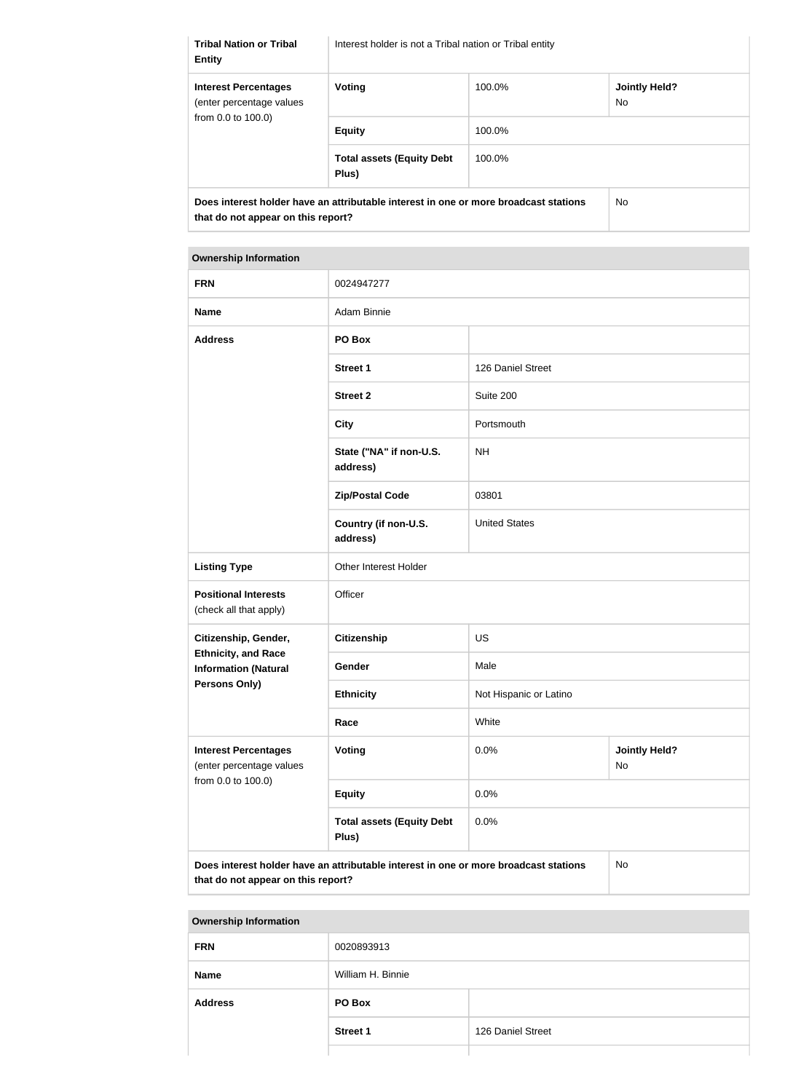| <b>Tribal Nation or Tribal</b><br><b>Entity</b>                                | Interest holder is not a Tribal nation or Tribal entity                              |        |                             |
|--------------------------------------------------------------------------------|--------------------------------------------------------------------------------------|--------|-----------------------------|
| <b>Interest Percentages</b><br>(enter percentage values)<br>from 0.0 to 100.0) | Voting                                                                               | 100.0% | <b>Jointly Held?</b><br>No. |
|                                                                                | <b>Equity</b>                                                                        | 100.0% |                             |
|                                                                                | <b>Total assets (Equity Debt</b><br>Plus)                                            | 100.0% |                             |
| that do not appear on this report?                                             | Does interest holder have an attributable interest in one or more broadcast stations |        | No.                         |

#### **Ownership Information**

| <b>FRN</b>                                                                                                                       | 0024947277                                |                        |                            |
|----------------------------------------------------------------------------------------------------------------------------------|-------------------------------------------|------------------------|----------------------------|
| <b>Name</b>                                                                                                                      | Adam Binnie                               |                        |                            |
| <b>Address</b>                                                                                                                   | PO Box                                    |                        |                            |
|                                                                                                                                  | <b>Street 1</b>                           | 126 Daniel Street      |                            |
|                                                                                                                                  | <b>Street 2</b>                           | Suite 200              |                            |
|                                                                                                                                  | <b>City</b>                               | Portsmouth             |                            |
|                                                                                                                                  | State ("NA" if non-U.S.<br>address)       | <b>NH</b>              |                            |
|                                                                                                                                  | <b>Zip/Postal Code</b>                    | 03801                  |                            |
|                                                                                                                                  | Country (if non-U.S.<br>address)          | <b>United States</b>   |                            |
| <b>Listing Type</b>                                                                                                              | Other Interest Holder                     |                        |                            |
| <b>Positional Interests</b><br>(check all that apply)                                                                            | Officer                                   |                        |                            |
| Citizenship, Gender,                                                                                                             | <b>Citizenship</b><br>US                  |                        |                            |
| <b>Ethnicity, and Race</b><br><b>Information (Natural</b>                                                                        | Gender                                    | Male                   |                            |
| Persons Only)                                                                                                                    | <b>Ethnicity</b>                          | Not Hispanic or Latino |                            |
|                                                                                                                                  | Race                                      | White                  |                            |
| <b>Interest Percentages</b><br>(enter percentage values                                                                          | Voting                                    | 0.0%                   | <b>Jointly Held?</b><br>No |
| from 0.0 to 100.0)                                                                                                               | <b>Equity</b>                             | 0.0%                   |                            |
|                                                                                                                                  | <b>Total assets (Equity Debt</b><br>Plus) | 0.0%                   |                            |
| Does interest holder have an attributable interest in one or more broadcast stations<br>No<br>that do not appear on this report? |                                           |                        |                            |

## **Ownership Information**

| . .            |                   |                   |
|----------------|-------------------|-------------------|
| <b>FRN</b>     | 0020893913        |                   |
| <b>Name</b>    | William H. Binnie |                   |
| <b>Address</b> | PO Box            |                   |
|                | <b>Street 1</b>   | 126 Daniel Street |
|                |                   |                   |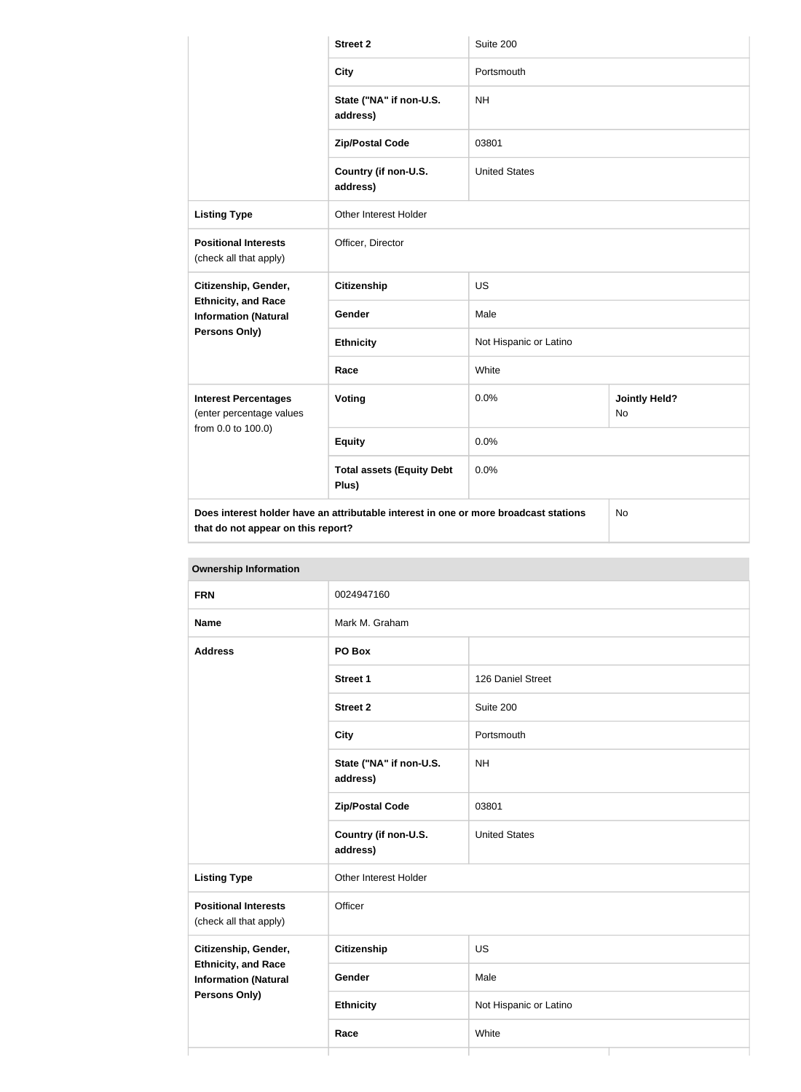|                                                           | <b>Street 2</b>                                                                      | Suite 200              |                            |
|-----------------------------------------------------------|--------------------------------------------------------------------------------------|------------------------|----------------------------|
|                                                           | <b>City</b>                                                                          | Portsmouth             |                            |
|                                                           | State ("NA" if non-U.S.<br>address)                                                  | <b>NH</b>              |                            |
|                                                           | <b>Zip/Postal Code</b>                                                               | 03801                  |                            |
|                                                           | Country (if non-U.S.<br>address)                                                     | <b>United States</b>   |                            |
| <b>Listing Type</b>                                       | Other Interest Holder                                                                |                        |                            |
| <b>Positional Interests</b><br>(check all that apply)     | Officer, Director                                                                    |                        |                            |
| Citizenship, Gender,                                      | <b>Citizenship</b>                                                                   | <b>US</b>              |                            |
| <b>Ethnicity, and Race</b><br><b>Information (Natural</b> | Gender                                                                               | Male                   |                            |
| <b>Persons Only)</b>                                      | <b>Ethnicity</b>                                                                     | Not Hispanic or Latino |                            |
|                                                           | Race                                                                                 | White                  |                            |
| <b>Interest Percentages</b><br>(enter percentage values   | Voting                                                                               | 0.0%                   | <b>Jointly Held?</b><br>No |
| from 0.0 to 100.0)                                        | <b>Equity</b>                                                                        | 0.0%                   |                            |
|                                                           | <b>Total assets (Equity Debt</b><br>Plus)                                            | 0.0%                   |                            |
| that do not appear on this report?                        | Does interest holder have an attributable interest in one or more broadcast stations |                        | No                         |

| <b>FRN</b>                                                |                                     | 0024947160             |  |  |
|-----------------------------------------------------------|-------------------------------------|------------------------|--|--|
| <b>Name</b>                                               | Mark M. Graham                      |                        |  |  |
| <b>Address</b>                                            | PO Box                              |                        |  |  |
|                                                           | Street 1                            | 126 Daniel Street      |  |  |
|                                                           | <b>Street 2</b>                     | Suite 200              |  |  |
|                                                           | <b>City</b>                         | Portsmouth             |  |  |
|                                                           | State ("NA" if non-U.S.<br>address) | <b>NH</b>              |  |  |
|                                                           | <b>Zip/Postal Code</b>              | 03801                  |  |  |
|                                                           | Country (if non-U.S.<br>address)    | <b>United States</b>   |  |  |
| <b>Listing Type</b>                                       | Other Interest Holder               |                        |  |  |
| <b>Positional Interests</b><br>(check all that apply)     | Officer                             |                        |  |  |
| Citizenship, Gender,                                      | <b>Citizenship</b>                  | US                     |  |  |
| <b>Ethnicity, and Race</b><br><b>Information (Natural</b> | Gender                              | Male                   |  |  |
| Persons Only)                                             | <b>Ethnicity</b>                    | Not Hispanic or Latino |  |  |
|                                                           | Race                                | White                  |  |  |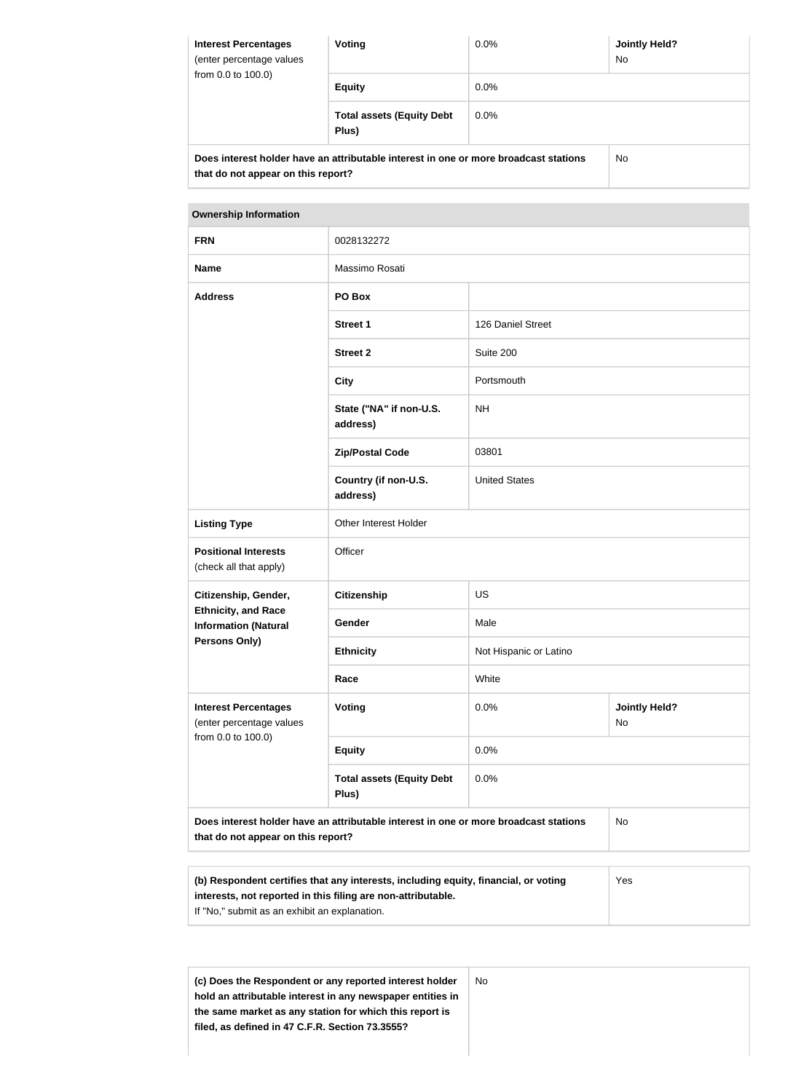| <b>Interest Percentages</b><br>(enter percentage values<br>from $0.0$ to $100.0$ ) | Voting                                                                               | $0.0\%$ | <b>Jointly Held?</b><br>No. |
|------------------------------------------------------------------------------------|--------------------------------------------------------------------------------------|---------|-----------------------------|
|                                                                                    | <b>Equity</b>                                                                        | $0.0\%$ |                             |
|                                                                                    | <b>Total assets (Equity Debt</b><br>Plus)                                            | $0.0\%$ |                             |
| that do not appear on this report?                                                 | Does interest holder have an attributable interest in one or more broadcast stations |         | No.                         |

| <b>Ownership Information</b>                                                                                                     |                                           |                        |                            |
|----------------------------------------------------------------------------------------------------------------------------------|-------------------------------------------|------------------------|----------------------------|
| <b>FRN</b>                                                                                                                       | 0028132272                                |                        |                            |
| <b>Name</b>                                                                                                                      | Massimo Rosati                            |                        |                            |
| <b>Address</b>                                                                                                                   | PO Box                                    |                        |                            |
|                                                                                                                                  | <b>Street 1</b>                           | 126 Daniel Street      |                            |
|                                                                                                                                  | <b>Street 2</b>                           | Suite 200              |                            |
|                                                                                                                                  | <b>City</b>                               | Portsmouth             |                            |
|                                                                                                                                  | State ("NA" if non-U.S.<br>address)       | <b>NH</b>              |                            |
|                                                                                                                                  | <b>Zip/Postal Code</b>                    | 03801                  |                            |
|                                                                                                                                  | Country (if non-U.S.<br>address)          | <b>United States</b>   |                            |
| <b>Listing Type</b>                                                                                                              | Other Interest Holder                     |                        |                            |
| <b>Positional Interests</b><br>(check all that apply)                                                                            | Officer                                   |                        |                            |
| Citizenship, Gender,                                                                                                             | <b>Citizenship</b>                        | <b>US</b>              |                            |
| <b>Ethnicity, and Race</b><br><b>Information (Natural</b>                                                                        | Gender                                    | Male                   |                            |
| <b>Persons Only)</b>                                                                                                             | <b>Ethnicity</b>                          | Not Hispanic or Latino |                            |
|                                                                                                                                  | Race                                      | White                  |                            |
| <b>Interest Percentages</b><br>(enter percentage values                                                                          | Voting                                    | 0.0%                   | <b>Jointly Held?</b><br>No |
| from 0.0 to 100.0)                                                                                                               | <b>Equity</b>                             | 0.0%                   |                            |
|                                                                                                                                  | <b>Total assets (Equity Debt</b><br>Plus) | 0.0%                   |                            |
| No<br>Does interest holder have an attributable interest in one or more broadcast stations<br>that do not appear on this report? |                                           |                        |                            |

| (b) Respondent certifies that any interests, including equity, financial, or voting | <b>Yes</b> |
|-------------------------------------------------------------------------------------|------------|
| interests, not reported in this filing are non-attributable.                        |            |
| If "No," submit as an exhibit an explanation.                                       |            |

**(c) Does the Respondent or any reported interest holder hold an attributable interest in any newspaper entities in the same market as any station for which this report is filed, as defined in 47 C.F.R. Section 73.3555?** No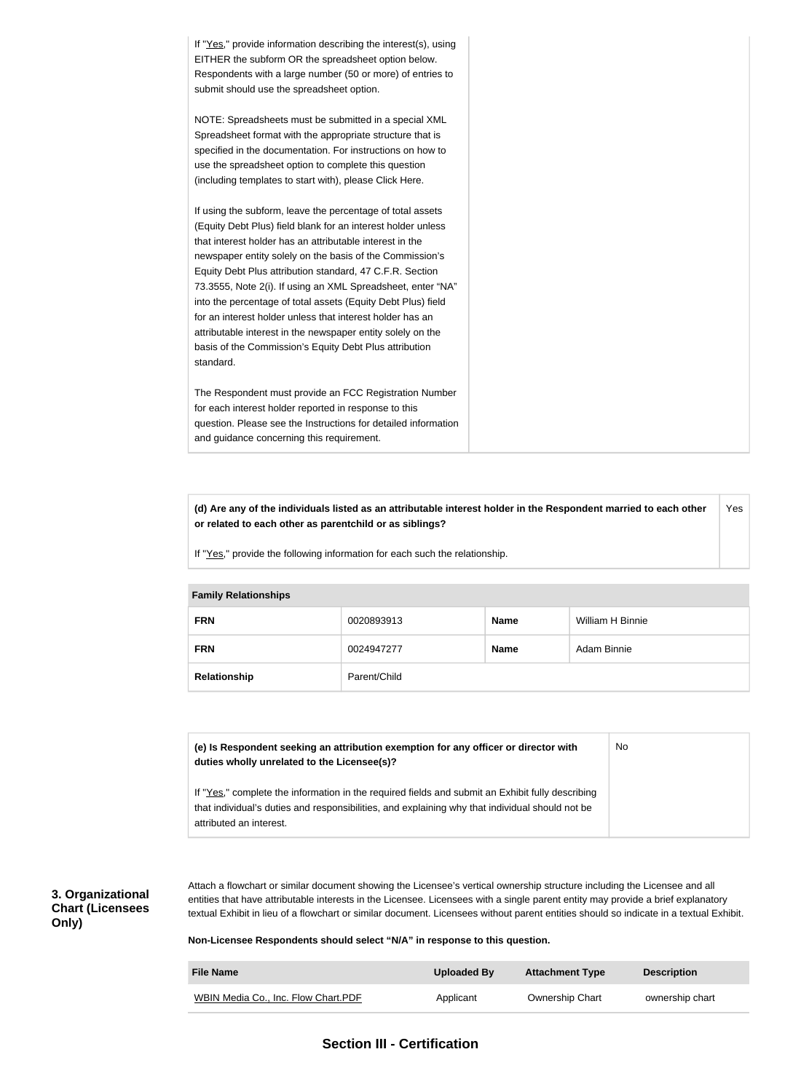If "Yes," provide information describing the interest(s), using EITHER the subform OR the spreadsheet option below. Respondents with a large number (50 or more) of entries to submit should use the spreadsheet option. NOTE: Spreadsheets must be submitted in a special XML Spreadsheet format with the appropriate structure that is specified in the documentation. For instructions on how to use the spreadsheet option to complete this question (including templates to start with), please Click Here. If using the subform, leave the percentage of total assets (Equity Debt Plus) field blank for an interest holder unless that interest holder has an attributable interest in the newspaper entity solely on the basis of the Commission's Equity Debt Plus attribution standard, 47 C.F.R. Section 73.3555, Note 2(i). If using an XML Spreadsheet, enter "NA" into the percentage of total assets (Equity Debt Plus) field for an interest holder unless that interest holder has an attributable interest in the newspaper entity solely on the basis of the Commission's Equity Debt Plus attribution standard. The Respondent must provide an FCC Registration Number for each interest holder reported in response to this question. Please see the Instructions for detailed information and guidance concerning this requirement.

**(d) Are any of the individuals listed as an attributable interest holder in the Respondent married to each other or related to each other as parentchild or as siblings?** Yes

If "Yes," provide the following information for each such the relationship.

| <b>Family Relationships</b> |              |             |                  |  |
|-----------------------------|--------------|-------------|------------------|--|
| <b>FRN</b>                  | 0020893913   | <b>Name</b> | William H Binnie |  |
| <b>FRN</b>                  | 0024947277   | <b>Name</b> | Adam Binnie      |  |
| Relationship                | Parent/Child |             |                  |  |

| (e) Is Respondent seeking an attribution exemption for any officer or director with<br>duties wholly unrelated to the Licensee(s)?                                                                                             | No |
|--------------------------------------------------------------------------------------------------------------------------------------------------------------------------------------------------------------------------------|----|
| If "Yes," complete the information in the required fields and submit an Exhibit fully describing<br>that individual's duties and responsibilities, and explaining why that individual should not be<br>attributed an interest. |    |

## **3. Organizational Chart (Licensees Only)**

Attach a flowchart or similar document showing the Licensee's vertical ownership structure including the Licensee and all entities that have attributable interests in the Licensee. Licensees with a single parent entity may provide a brief explanatory textual Exhibit in lieu of a flowchart or similar document. Licensees without parent entities should so indicate in a textual Exhibit.

**Non-Licensee Respondents should select "N/A" in response to this question.**

| <b>File Name</b>                    | Uploaded By | <b>Attachment Type</b> | <b>Description</b> |
|-------------------------------------|-------------|------------------------|--------------------|
| WBIN Media Co., Inc. Flow Chart.PDF | Applicant   | <b>Ownership Chart</b> | ownership chart    |